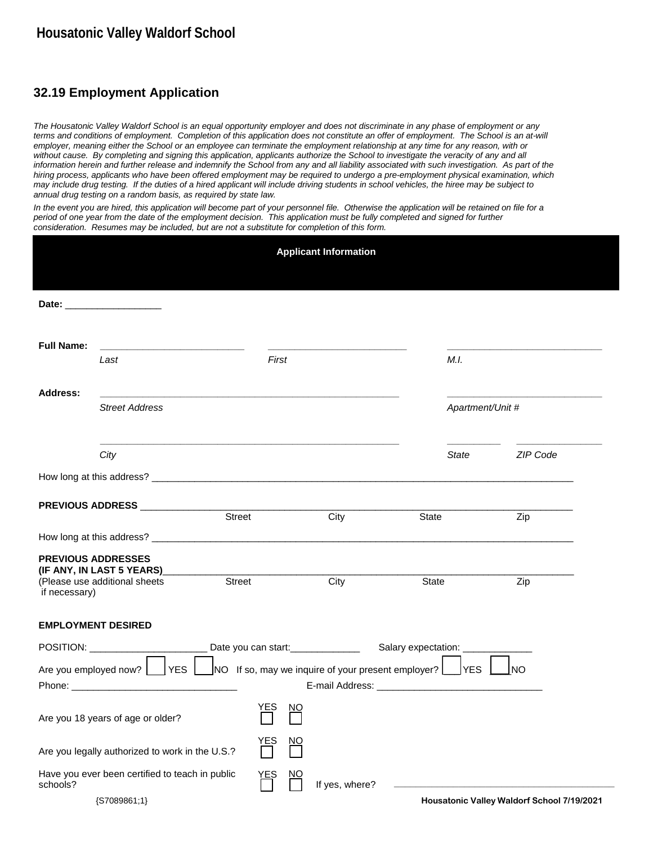## **32.19 Employment Application**

*The Housatonic Valley Waldorf School is an equal opportunity employer and does not discriminate in any phase of employment or any*  terms and conditions of employment. Completion of this application does not constitute an offer of employment. The School is an at-will *employer, meaning either the School or an employee can terminate the employment relationship at any time for any reason, with or without cause. By completing and signing this application, applicants authorize the School to investigate the veracity of any and all*  information herein and further release and indemnify the School from any and all liability associated with such investigation. As part of the *hiring process, applicants who have been offered employment may be required to undergo a pre-employment physical examination, which may include drug testing. If the duties of a hired applicant will include driving students in school vehicles, the hiree may be subject to annual drug testing on a random basis, as required by state law.* 

*In the event you are hired, this application will become part of your personnel file. Otherwise the application will be retained on file for a period of one year from the date of the employment decision. This application must be fully completed and signed for further consideration. Resumes may be included, but are not a substitute for completion of this form.* 

|                                                                                                       |                                                                                                                                                                                                                                |            |                | <b>Applicant Information</b> |       |                  |                                            |  |
|-------------------------------------------------------------------------------------------------------|--------------------------------------------------------------------------------------------------------------------------------------------------------------------------------------------------------------------------------|------------|----------------|------------------------------|-------|------------------|--------------------------------------------|--|
|                                                                                                       | Date: the contract of the contract of the contract of the contract of the contract of the contract of the contract of the contract of the contract of the contract of the contract of the contract of the contract of the cont |            |                |                              |       |                  |                                            |  |
| <b>Full Name:</b>                                                                                     | <u> 1980 - Jan James, martin amerikan basar dan basa dan basa dan basa dan basa dan basa dalam basa dan basa dan</u><br>Last                                                                                                   | First      |                |                              |       | M.I.             |                                            |  |
| <b>Address:</b>                                                                                       | <b>Street Address</b>                                                                                                                                                                                                          |            |                |                              |       | Apartment/Unit # |                                            |  |
|                                                                                                       |                                                                                                                                                                                                                                |            |                |                              |       |                  |                                            |  |
|                                                                                                       | City                                                                                                                                                                                                                           |            |                |                              |       | State            | ZIP Code                                   |  |
|                                                                                                       |                                                                                                                                                                                                                                |            |                |                              |       |                  |                                            |  |
|                                                                                                       | PREVIOUS ADDRESS AND ALCOHOL: A CONTROL AND A CONTROL AND A CONTROL AND A CONTROL AND A CONTROL AND A CONTROL AND A CONTROL AND A CONTROL AND A CONTROL AND A CONTROL AND A CONTROL AND A CONTROL AND A CONTROL AND A CONTROL  | Street     |                | City                         | State |                  | Zip                                        |  |
|                                                                                                       |                                                                                                                                                                                                                                |            |                |                              |       |                  |                                            |  |
| <b>PREVIOUS ADDRESSES</b>                                                                             |                                                                                                                                                                                                                                |            |                |                              |       |                  |                                            |  |
| if necessary)                                                                                         | (Please use additional sheets                                                                                                                                                                                                  | Street     |                | City                         | State |                  | Zip                                        |  |
| <b>EMPLOYMENT DESIRED</b>                                                                             |                                                                                                                                                                                                                                |            |                |                              |       |                  |                                            |  |
|                                                                                                       | POSITION: ___________________________Date you can start: _______________________Salary expectation: ________________                                                                                                           |            |                |                              |       |                  |                                            |  |
| Are you employed now?   YES   NO If so, may we inquire of your present employer?   YES  <br><b>NO</b> |                                                                                                                                                                                                                                |            |                |                              |       |                  |                                            |  |
|                                                                                                       | Are you 18 years of age or older?                                                                                                                                                                                              | <u>YES</u> | <u>NO</u><br>⊔ |                              |       |                  |                                            |  |
| <u>YE</u> S<br><u>NQ</u><br>Are you legally authorized to work in the U.S.?                           |                                                                                                                                                                                                                                |            |                |                              |       |                  |                                            |  |
| schools?                                                                                              | Have you ever been certified to teach in public<br>${S7089861;1}$                                                                                                                                                              | YES        | <u>NO</u>      | If yes, where?               |       |                  | Housatonic Valley Waldorf School 7/19/2021 |  |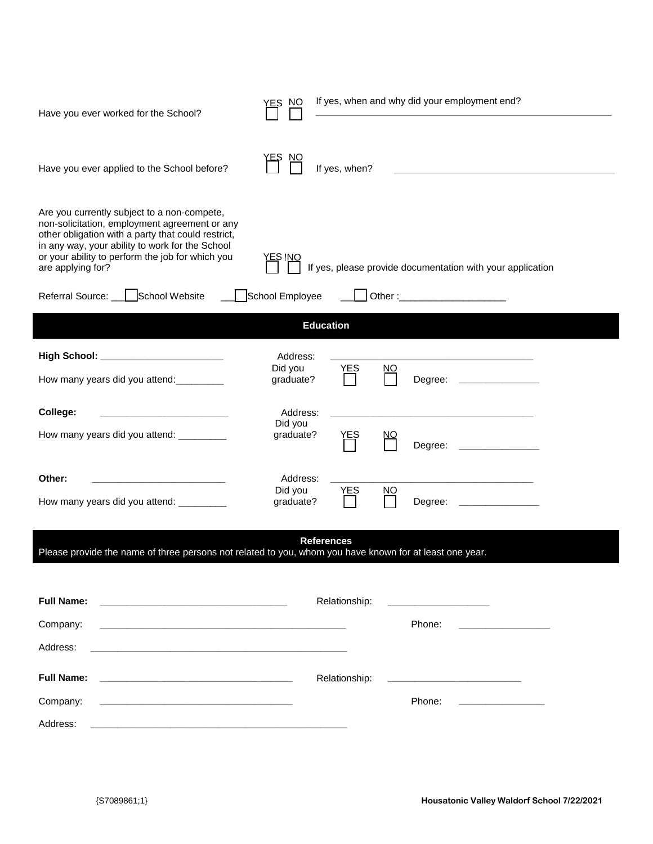| Have you ever worked for the School?                                                                                                                                                                                                                                           | YES NO               |                   |           | If yes, when and why did your employment end?              |
|--------------------------------------------------------------------------------------------------------------------------------------------------------------------------------------------------------------------------------------------------------------------------------|----------------------|-------------------|-----------|------------------------------------------------------------|
| Have you ever applied to the School before?                                                                                                                                                                                                                                    |                      | If yes, when?     |           |                                                            |
| Are you currently subject to a non-compete,<br>non-solicitation, employment agreement or any<br>other obligation with a party that could restrict,<br>in any way, your ability to work for the School<br>or your ability to perform the job for which you<br>are applying for? | <u>YES INO</u>       |                   |           | If yes, please provide documentation with your application |
| Referral Source:   School Website                                                                                                                                                                                                                                              | School Employee      |                   |           |                                                            |
|                                                                                                                                                                                                                                                                                |                      | <b>Education</b>  |           |                                                            |
|                                                                                                                                                                                                                                                                                | Address:             |                   |           |                                                            |
| How many years did you attend:                                                                                                                                                                                                                                                 | Did you<br>graduate? | <b>YES</b>        | NO        | Degree:                                                    |
| College:                                                                                                                                                                                                                                                                       | Address:             |                   |           |                                                            |
| How many years did you attend: __________                                                                                                                                                                                                                                      | Did you<br>graduate? | YES               | <u>NO</u> | Degree:                                                    |
| Other:<br><u> 1980 - An Dùbhlachd ann an Dùbhlachd an Dùbhlachd ann an Dùbhlachd ann an Dùbhlachd ann an Dùbhlachd ann an Dùbhlachd ann an Dùbhlachd ann an Dùbhlachd ann an Dùbhlachd ann an Dùbhlachd ann an Dùbhlachd ann an Dùbhlachd </u>                                 | Address:             |                   |           |                                                            |
| How many years did you attend: __________                                                                                                                                                                                                                                      | Did you<br>graduate? | <b>YES</b>        | NQ        | Degree:                                                    |
| Please provide the name of three persons not related to you, whom you have known for at least one year.                                                                                                                                                                        |                      | <b>References</b> |           |                                                            |
|                                                                                                                                                                                                                                                                                |                      |                   |           |                                                            |
| <b>Full Name:</b>                                                                                                                                                                                                                                                              |                      | Relationship:     |           | <u> 1980 - Johann Barn, mars ann an t-Sainte</u>           |
| Company:<br><u> 1989 - Andrea Stadt Britain, amerikansk politiker (d. 1989)</u>                                                                                                                                                                                                |                      |                   |           | Phone:<br>the control of the control of the control of     |
| Address:<br><u> 1989 - Andrea Stadt Britain, amerikansk politiker (</u>                                                                                                                                                                                                        |                      |                   |           |                                                            |
| <b>Full Name:</b>                                                                                                                                                                                                                                                              |                      | Relationship:     |           |                                                            |
| Company:<br><u> 1980 - Johann John Harry, mars eta bat eta bat eta bat ez arteko hamar eta bat ez arteko hamarra</u>                                                                                                                                                           |                      |                   |           | Phone:                                                     |
| Address:                                                                                                                                                                                                                                                                       |                      |                   |           |                                                            |

Ī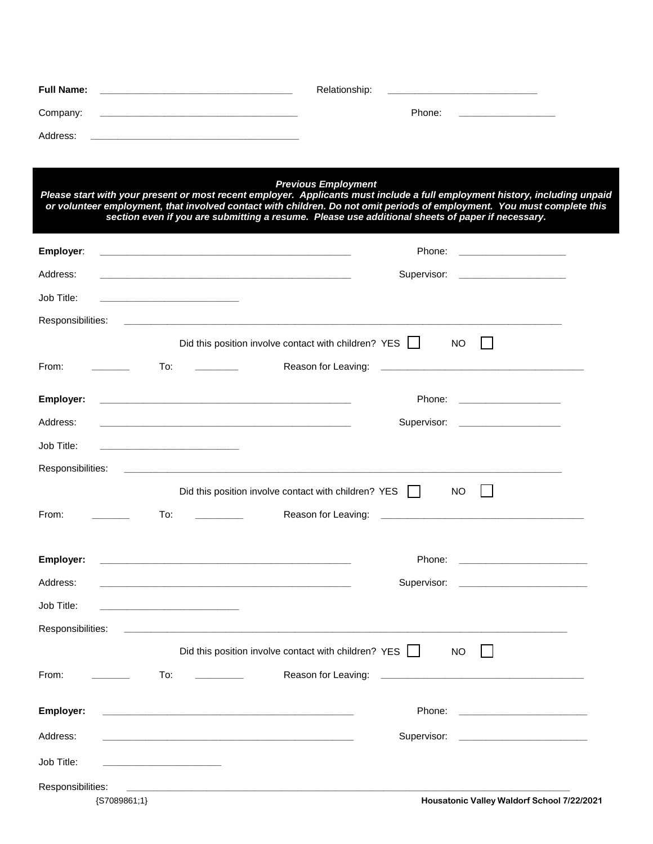| <b>Full Name:</b> | Relationship: |
|-------------------|---------------|
| Company:          | Phone:        |
| Address:          |               |

|                   | <b>Previous Employment</b><br>Please start with your present or most recent employer. Applicants must include a full employment history, including unpaid<br>or volunteer employment, that involved contact with children. Do not omit periods of employment. You must complete this<br>section even if you are submitting a resume. Please use additional sheets of paper if necessary. |  |
|-------------------|------------------------------------------------------------------------------------------------------------------------------------------------------------------------------------------------------------------------------------------------------------------------------------------------------------------------------------------------------------------------------------------|--|
| Employer:         | Phone:<br><u> The Communication of the Communication</u><br><u> 1980 - Johann John Stone, Amerikaansk politiker (* 1950)</u>                                                                                                                                                                                                                                                             |  |
| Address:          | Supervisor: _____________________                                                                                                                                                                                                                                                                                                                                                        |  |
| Job Title:        | <u> 1989 - Johann John Stone, markin film yn y brening yn y brening yn y brening yn y brening yn y brening yn y br</u>                                                                                                                                                                                                                                                                   |  |
| Responsibilities: |                                                                                                                                                                                                                                                                                                                                                                                          |  |
|                   | Did this position involve contact with children? YES  <br><b>NO</b>                                                                                                                                                                                                                                                                                                                      |  |
| From:             | Reason for Leaving:<br>To:<br><u> 2000 - 2000 - 2000 - 2000 - 2000 - 2000 - 2000 - 2000 - 2000 - 2000 - 2000 - 2000 - 2000 - 2000 - 2000 - 200</u>                                                                                                                                                                                                                                       |  |
| Employer:         | Phone: National Phone State Contract of the State Contract of the State Contract of the State Contract of the State Contract of the State Contract of the State Contract of the State Contract of the State Contract of the St<br><u> 1980 - Jan Barnett, fransk politik (d. 1980)</u>                                                                                                   |  |
| Address:          | Supervisor: ______________________<br><u> 1989 - Johann John Stein, markin fan it ferstjer fan it ferstjer fan it ferstjer fan it ferstjer fan it fers</u>                                                                                                                                                                                                                               |  |
| Job Title:        | <u> 1989 - Johann John Stone, markin amerikan bisa di sebagai pertama pertama pertama pertama pertama pertama per</u>                                                                                                                                                                                                                                                                    |  |
| Responsibilities: | <u> 1989 - Jan Samuel Barbara, martin da shekara ta 1989 - An tsara tsara tsara tsara tsara tsara tsara tsara tsa</u>                                                                                                                                                                                                                                                                    |  |
|                   | Did this position involve contact with children? YES    <br><b>NO</b>                                                                                                                                                                                                                                                                                                                    |  |
| From:             | To:                                                                                                                                                                                                                                                                                                                                                                                      |  |
| Employer:         |                                                                                                                                                                                                                                                                                                                                                                                          |  |
| Address:          |                                                                                                                                                                                                                                                                                                                                                                                          |  |
| Job Title:        | <u> 1989 - Johann John Stone, mars et al. 1989 - John Stone, mars et al. 1989 - John Stone, mars et al. 1989 - John Stone</u>                                                                                                                                                                                                                                                            |  |
| Responsibilities: |                                                                                                                                                                                                                                                                                                                                                                                          |  |
|                   | Did this position involve contact with children? YES<br><b>NO</b>                                                                                                                                                                                                                                                                                                                        |  |
| From:             | To:<br>Reason for Leaving:                                                                                                                                                                                                                                                                                                                                                               |  |
| Employer:         | Phone:                                                                                                                                                                                                                                                                                                                                                                                   |  |
| Address:          | Supervisor:<br><u> 1980 - Jan Barnett, martin amerikan basal dan berasal dalam basal dalam basal dalam basal dalam basal dalam b</u>                                                                                                                                                                                                                                                     |  |
| Job Title:        |                                                                                                                                                                                                                                                                                                                                                                                          |  |
| Responsibilities: |                                                                                                                                                                                                                                                                                                                                                                                          |  |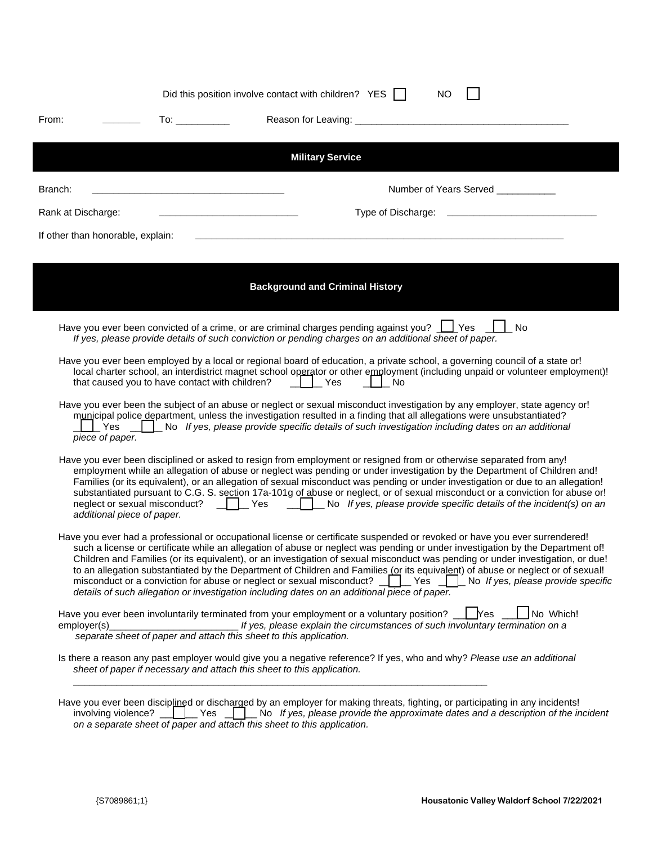|                                   | Did this position involve contact with children? YES    <br><b>NO</b>                                                                                                                                                                                                                                                                                                                                                                                                                                                                                                                                                                                                                                                                                                      |
|-----------------------------------|----------------------------------------------------------------------------------------------------------------------------------------------------------------------------------------------------------------------------------------------------------------------------------------------------------------------------------------------------------------------------------------------------------------------------------------------------------------------------------------------------------------------------------------------------------------------------------------------------------------------------------------------------------------------------------------------------------------------------------------------------------------------------|
| From:                             |                                                                                                                                                                                                                                                                                                                                                                                                                                                                                                                                                                                                                                                                                                                                                                            |
|                                   | <b>Military Service</b>                                                                                                                                                                                                                                                                                                                                                                                                                                                                                                                                                                                                                                                                                                                                                    |
| Branch:                           | Number of Years Served ___________<br><u> 1989 - Johann John Stone, markin film yn y brening yn y brening yn y brening yn y brening yn y brening yn y br</u>                                                                                                                                                                                                                                                                                                                                                                                                                                                                                                                                                                                                               |
| Rank at Discharge:                |                                                                                                                                                                                                                                                                                                                                                                                                                                                                                                                                                                                                                                                                                                                                                                            |
| If other than honorable, explain: |                                                                                                                                                                                                                                                                                                                                                                                                                                                                                                                                                                                                                                                                                                                                                                            |
|                                   |                                                                                                                                                                                                                                                                                                                                                                                                                                                                                                                                                                                                                                                                                                                                                                            |
|                                   | <b>Background and Criminal History</b>                                                                                                                                                                                                                                                                                                                                                                                                                                                                                                                                                                                                                                                                                                                                     |
|                                   | Have you ever been convicted of a crime, or are criminal charges pending against you? <u>II</u> Yes<br><b>No</b><br>If yes, please provide details of such conviction or pending charges on an additional sheet of paper.                                                                                                                                                                                                                                                                                                                                                                                                                                                                                                                                                  |
|                                   | Have you ever been employed by a local or regional board of education, a private school, a governing council of a state or!<br>local charter school, an interdistrict magnet school operator or other employment (including unpaid or volunteer employment)!<br>that caused you to have contact with children? $\Box$ Yes<br>$\perp$ No                                                                                                                                                                                                                                                                                                                                                                                                                                    |
| piece of paper.                   | Have you ever been the subject of an abuse or neglect or sexual misconduct investigation by any employer, state agency or!<br>municipal police department, unless the investigation resulted in a finding that all allegations were unsubstantiated?<br>$\Box$ Yes $\Box$ No If yes, please provide specific details of such investigation including dates on an additional                                                                                                                                                                                                                                                                                                                                                                                                |
| additional piece of paper.        | Have you ever been disciplined or asked to resign from employment or resigned from or otherwise separated from any!<br>employment while an allegation of abuse or neglect was pending or under investigation by the Department of Children and!<br>Families (or its equivalent), or an allegation of sexual misconduct was pending or under investigation or due to an allegation!<br>substantiated pursuant to C.G. S. section 17a-101g of abuse or neglect, or of sexual misconduct or a conviction for abuse or!<br>neglect or sexual misconduct?     Yes   LNo If yes, please provide specific details of the incident(s) on an                                                                                                                                        |
|                                   | Have you ever had a professional or occupational license or certificate suspended or revoked or have you ever surrendered!<br>such a license or certificate while an allegation of abuse or neglect was pending or under investigation by the Department of!<br>Children and Families (or its equivalent), or an investigation of sexual misconduct was pending or under investigation, or due!<br>to an allegation substantiated by the Department of Children and Families (or its equivalent) of abuse or neglect or of sexual!<br>misconduct or a conviction for abuse or neglect or sexual misconduct? $\Box$ $\Box$ Yes<br>$\Box$ No If yes, please provide specific<br>details of such allegation or investigation including dates on an additional piece of paper. |
| employer(s)                       | Have you ever been involuntarily terminated from your employment or a voluntary position?<br>No Which!<br><b>Yes</b><br>If yes, please explain the circumstances of such involuntary termination on a<br>separate sheet of paper and attach this sheet to this application.                                                                                                                                                                                                                                                                                                                                                                                                                                                                                                |
|                                   | Is there a reason any past employer would give you a negative reference? If yes, who and why? Please use an additional<br>sheet of paper if necessary and attach this sheet to this application.                                                                                                                                                                                                                                                                                                                                                                                                                                                                                                                                                                           |
| involving violence? __            | Have you ever been disciplined or discharged by an employer for making threats, fighting, or participating in any incidents!<br>No If yes, please provide the approximate dates and a description of the incident<br>Yes<br>on a separate sheet of paper and attach this sheet to this application.                                                                                                                                                                                                                                                                                                                                                                                                                                                                        |